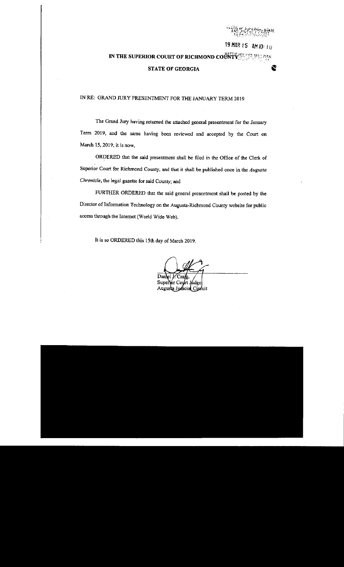19 MAR 15 AM 10: 10

Ê

# IN THE SUPERIOR COURT OF RICHMOND COUNTY SERVICE

#### **STATE OF GEORGIA**

#### IN RE: GRAND JURY PRESENTMENT FOR THE JANUARY TERM 2019

The Grand Jury having returned the attached general presentment for the January Term 2019, and the same having been reviewed and accepted by the Court on March 15, 2019, it is now,

ORDERED that the said presentment shall be filed in the Office of the Clerk of Superior Court for Richmond County, and that it shall be published once in the Augusta Chronicle, the legal gazette for said County; and

FURTHER ORDERED that the said general presentment shall be posted by the Director of Information Technology on the Augusta-Richmond County website for public access through the Internet (World Wide Web).

It is so ORDERED this 15th day of March 2019.

Sup Augu: Circuit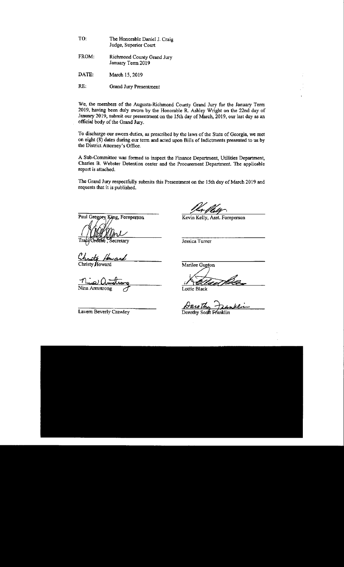| TO: | The Honorable Daniel J. Craig |
|-----|-------------------------------|
|     | Judge, Superior Court         |

- Richmond County Orand Jury January Term 2019 FROM:
- March 15,2019 DATE:
- Grand Jury Presentment RE:

We, the members of the Augusta-Richmond County Grand Jury for the January Term 2019, having been duly sworn by the Honorable R. Ashley Wright on the 22nd day of January 2019, submit our presentment on the 15th day of March, 2019, our last day as an official body of the Grand Jury.

To discharge our sworn duties, as prescribed by the laws of the State of Georgia, we met on eight (8) dates during our term and acted upon Bills of Indictments presented to us by the District Attorney's Office.

A Sub-Committee was formed to inspect the Finance Department, Utilities Department, Charles B. Webster Detention center and the Procurement Department. The applicable report is attached.

The Grand Jury respectfully submits this Presentment on the 15th day of March 2019 and requests that it is published.

Paul Gregory King, Foreperson

外し Tra ecretary

Christy Howard

<u>nie aut</u> Nina Armstrong

Lavem Beverly Crawley

1 May 1614.<br>Kevin Kelly, Asst. Foreperson

Jessica Tumer

Marilee Gupton

Elled U

Lottie Black

Darothy Dan

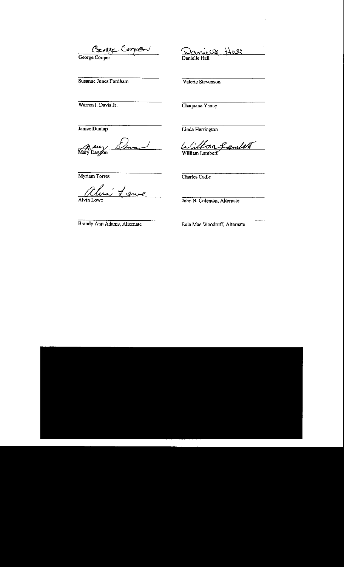George Cooper

Susanne Jones Fordham

Warren I. Davis Jr.

Janice Dunlap

h *Aury*<br>Mary Dayson

Myriam Torres

<u>Ahr</u> ÷. 'eux Alvin Lowe

Brandy Ann Adams, Alternate

Danielle Hall Hall

Valerie Stevenson

Chaquana Yancy

Linda Herrington

<u>Liltion</u> <u>gambert</u>

Charles Cadle

John B. Coleman, Alternate

Eula Mae Woodruff, Alternate

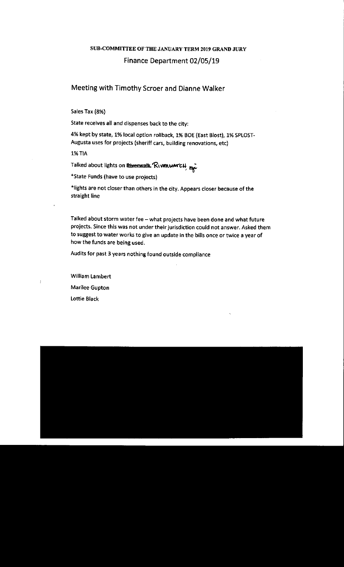## SUB-COMMITTEE OF THE JANUARY TERM 2019 GRAND JURY Finance Department 02/05/19

### Meeting with Timothy Scroer and Dianne Walker

Sales Tax (8%)

State receives all and dispenses back to the cityl

4% kept by state, 1% local option rollback, 1% BOE (East Blost), 1% SPLOST-Augusta uses for projects (sheriff cars, building renovations, etc)

1% TIA

Talked about lights on **Biverwalk**. RivenwarcH **Exter**<br>\*State Funds (have to use projects)

+lights are not closer than others in the city. Appears closer because of the straight line

Talked about storm water fee - what projects have been done and what future projects. Since this was not under their jurisdiction could not answer. Asked them to suggest to water works to give an update in the bills once or twice a year of how the funds are being used.

Audits for past 3 years nothing found outslde compliance

William Lambert Marilee Gupton lottie Black

 $\mathbf{I}$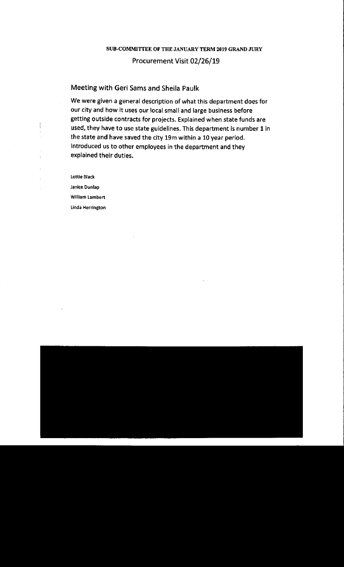## SUB-COMMITTEE OF THE JANUARY TERM 2019 GRAND JURY Procurement Visit 02/26/19

#### Meeting with Geri Sams and Sheila Paulk

We were given a general description of what this department does for our city and how it uses our local small and large business before getting outside contracts for projects. Explained when state funds are used, they have to use state guidelines. This department is number I in the state and have saved the city 19m within a 10 year period. lntroduced us to other employees in the department and they explained their duties.

Lottie Black

Janice Dunlap Wllllam Lambert Linda Herrington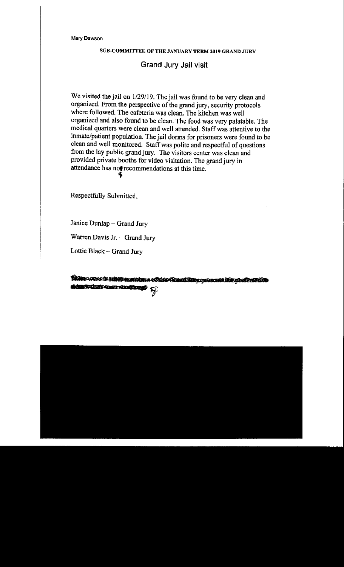#### SUB-COMMITTEE OF THE JANUARY TERM 2019 GRAND JURY

## Grand Jury Jail visit

We visited the jail on 1/29/19. The jail was found to be very clean and organized. From the perspective of the grand jury, security protocols where followed. The cafeteria was clean. The kitchen was well organized and also found to be clean. The food was very palatable. The medical quarters were clean and well attended. Staff was attentive to the inmate/patient population. The jail dorms for prisoners were found to be clean and well monitored. Staff was potite and respectful of questions fiom the lay public grand jury. The visitors center was clean and provided private booths for video visitation. The grand jury in attendance has not recommendations at this time.

Respectfully Submitted,

Janice Dunlap - Grand Jury

Warren Davis Jr. - Grand Jury

Lottie Black - Grand Jury

BROR-17010 D MIND HUMMORIS AT THE COMMON LOOP AND MANUSCRADES sign distinsive comments and ら